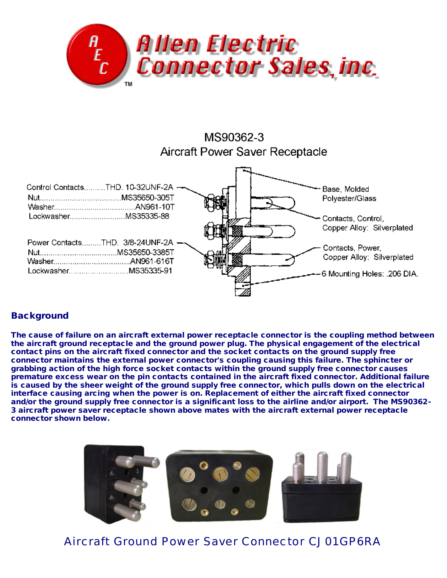





## **Background**

The cause of failure on an aircraft external power receptacle connector is the coupling method between the aircraft ground receptacle and the ground power plug. The physical engagement of the electrical contact pins on the aircraft fixed connector and the socket contacts on the ground supply free connector maintains the external power connector's coupling causing this failure. The sphincter or grabbing action of the high force socket contacts within the ground supply free connector causes premature excess wear on the pin contacts contained in the aircraft fixed connector. Additional failure is caused by the sheer weight of the ground supply free connector, which pulls down on the electrical interface causing arcing when the power is on. Replacement of either the aircraft fixed connector and/or the ground supply free connector is a significant loss to the airline and/or airport. The MS90362- 3 aircraft power saver receptacle shown above mates with the aircraft external power receptacle connector shown below.



*Aircraft Ground Power Saver Connector CJ01GP6RA*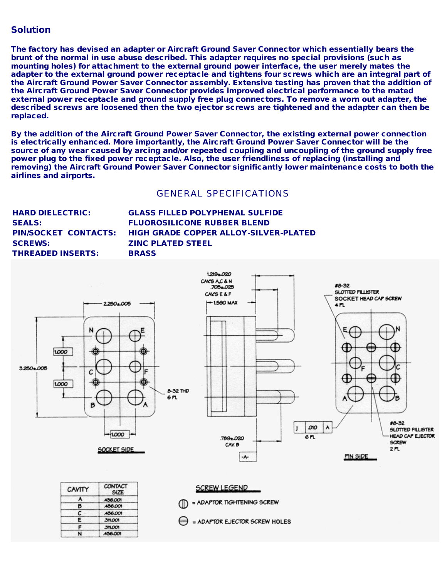## Solution

The factory has devised an adapter or Aircraft Ground Saver Connector which essentially bears the brunt of the normal in use abuse described. This adapter requires no special provisions (such as mounting holes) for attachment to the external ground power interface, the user merely mates the adapter to the external ground power receptacle and tightens four screws which are an integral part of the Aircraft Ground Power Saver Connector assembly. Extensive testing has proven that the addition of the Aircraft Ground Power Saver Connector provides improved electrical performance to the mated external power receptacle and ground supply free plug connectors. To remove a worn out adapter, the described screws are loosened then the two ejector screws are tightened and the adapter can then be replaced.

By the addition of the Aircraft Ground Power Saver Connector, the existing external power connection is electrically enhanced. More importantly, the Aircraft Ground Power Saver Connector will be the source of any wear caused by arcing and/or repeated coupling and uncoupling of the ground supply free power plug to the fixed power receptacle. Also, the user friendliness of replacing (installing and removing) the Aircraft Ground Power Saver Connector significantly lower maintenance costs to both the airlines and airports.

## *GENERAL SPECIFICATIONS*

| <b>HARD DIELECTRIC:</b>  | <b>GLASS FILLED POLYPHENAL SULFIDE</b>                     |
|--------------------------|------------------------------------------------------------|
| <b>SEALS:</b>            | <b>FLUOROSILICONE RUBBER BLEND</b>                         |
|                          | PIN/SOCKET CONTACTS: HIGH GRADE COPPER ALLOY-SILVER-PLATED |
| <b>SCREWS:</b>           | <b>ZINC PLATED STEEL</b>                                   |
| <b>THREADED INSERTS:</b> | <b>BRASS</b>                                               |
|                          |                                                            |